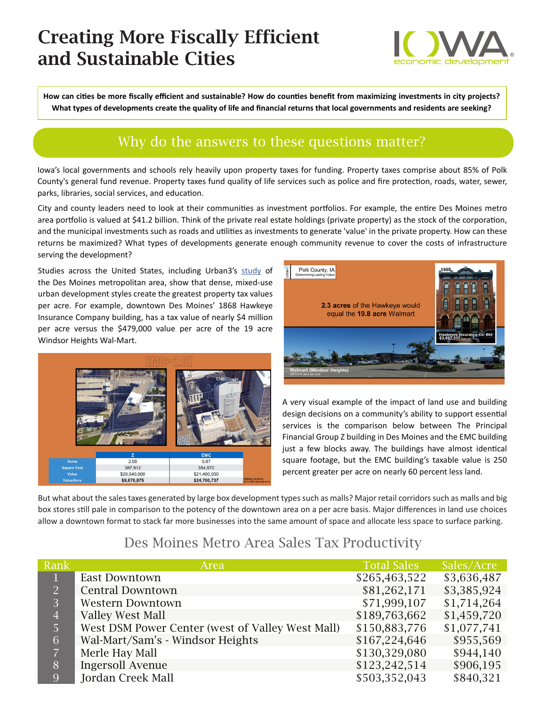# Creating More Fiscally Efficient and Sustainable Cities



**How can cities be more fiscally efficient and sustainable? How do counties benefit from maximizing investments in city projects? What types of developments create the quality of life and financial returns that local governments and residents are seeking?**

## Why do the answers to these questions matter?

Iowa's local governments and schools rely heavily upon property taxes for funding. Property taxes comprise about 85% of Polk County's general fund revenue. Property taxes fund quality of life services such as police and fire protection, roads, water, sewer, parks, libraries, social services, and education.

City and county leaders need to look at their communities as investment portfolios. For example, the entire Des Moines metro area portfolio is valued at \$41.2 billion. Think of the private real estate holdings (private property) as the stock of the corporation, and the municipal investments such as roads and utilities as investments to generate 'value' in the private property. How can these returns be maximized? What types of developments generate enough community revenue to cover the costs of infrastructure serving the development?

Studies across the United States, including Urban3's [study](http://dmampo.org/events/speaker-joe-minicozzi/) of the Des Moines metropolitan area, show that dense, mixed-use urban development styles create the greatest property tax values per acre. For example, downtown Des Moines' 1868 Hawkeye Insurance Company building, has a tax value of nearly \$4 million per acre versus the \$479,000 value per acre of the 19 acre Windsor Heights Wal-Mart.





A very visual example of the impact of land use and building design decisions on a community's ability to support essential services is the comparison below between The Principal Financial Group Z building in Des Moines and the EMC building just a few blocks away. The buildings have almost identical square footage, but the EMC building's taxable value is 250 percent greater per acre on nearly 60 percent less land.

But what about the sales taxes generated by large box development types such as malls? Major retail corridors such as malls and big box stores still pale in comparison to the potency of the downtown area on a per acre basis. Major differences in land use choices allow a downtown format to stack far more businesses into the same amount of space and allocate less space to surface parking.

#### Des Moines Metro Area Sales Tax Productivity

| Rank           | Area                                             | <b>Total Sales</b> | Sales/Acre  |
|----------------|--------------------------------------------------|--------------------|-------------|
| $\mathbf{1}$   | <b>East Downtown</b>                             | \$265,463,522      | \$3,636,487 |
| 2              | <b>Central Downtown</b>                          | \$81,262,171       | \$3,385,924 |
| 3              | <b>Western Downtown</b>                          | \$71,999,107       | \$1,714,264 |
| $\overline{4}$ | <b>Valley West Mall</b>                          | \$189,763,662      | \$1,459,720 |
| 5              | West DSM Power Center (west of Valley West Mall) | \$150,883,776      | \$1,077,741 |
| 6              | Wal-Mart/Sam's - Windsor Heights                 | \$167,224,646      | \$955,569   |
| $\overline{7}$ | Merle Hay Mall                                   | \$130,329,080      | \$944,140   |
| $\overline{8}$ | <b>Ingersoll Avenue</b>                          | \$123,242,514      | \$906,195   |
| 9              | Jordan Creek Mall                                | \$503,352,043      | \$840,321   |